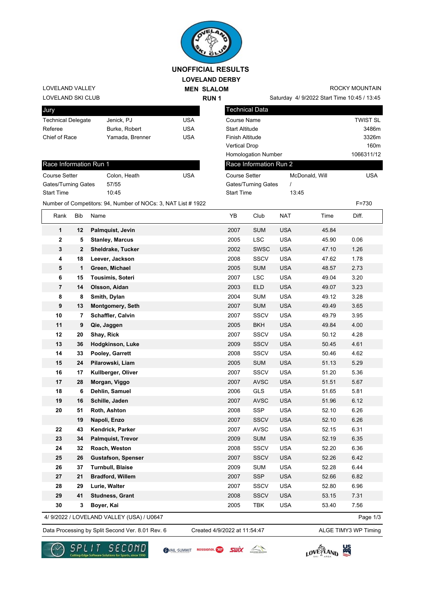

## **LOVELAND DERBY UNOFFICIAL RESULTS**

**MEN SLALOM** 

**RUN 1**

LOVELAND SKI CLUB LOVELAND VALLEY

| Jury                      |                 |     |
|---------------------------|-----------------|-----|
| <b>Technical Delegate</b> | Jenick, PJ      | USA |
| Referee                   | Burke, Robert   | USA |
| Chief of Race             | Yamada, Brenner | USA |
|                           |                 |     |

| Race Information Run 1 |              |     |  |  |  |
|------------------------|--------------|-----|--|--|--|
| <b>Course Setter</b>   | Colon, Heath | USA |  |  |  |
| Gates/Turning Gates    | 57/55        |     |  |  |  |
| <b>Start Time</b>      | 10.45        |     |  |  |  |

Number of Competitors: 94, Number of NOCs: 3, NAT List # 1922 F=730

| ROCKY MOUNTAIN |
|----------------|

Saturday 4/ 9/2022 Start Time 10:45 / 13:45

| Technical Data             |                |                 |
|----------------------------|----------------|-----------------|
| Course Name                |                | <b>TWIST SL</b> |
| Start Altitude             |                | 3486m           |
| Finish Altitude            |                | 3326m           |
| Vertical Drop              |                | 160m            |
| <b>Homologation Number</b> |                | 1066311/12      |
| Race Information Run 2     |                |                 |
| <b>Course Setter</b>       | McDonald, Will | USA             |
| Gates/Turning Gates        |                |                 |
| <b>Start Time</b>          | 13:45          |                 |
|                            |                |                 |

| Rank                    | Bib | Name                                      | YB   | Club        | <b>NAT</b> | Time  | Diff.    |
|-------------------------|-----|-------------------------------------------|------|-------------|------------|-------|----------|
| 1                       | 12  | Palmquist, Jevin                          | 2007 | <b>SUM</b>  | <b>USA</b> | 45.84 |          |
| $\overline{2}$          | 5   | <b>Stanley, Marcus</b>                    | 2005 | <b>LSC</b>  | <b>USA</b> | 45.90 | 0.06     |
| 3                       | 2   | Sheldrake, Tucker                         | 2002 | SWSC        | <b>USA</b> | 47.10 | 1.26     |
| 4                       | 18  | Leever, Jackson                           | 2008 | SSCV        | <b>USA</b> | 47.62 | 1.78     |
| 5                       | 1   | Green, Michael                            | 2005 | <b>SUM</b>  | <b>USA</b> | 48.57 | 2.73     |
| 6                       | 15  | Tousimis, Soteri                          | 2007 | LSC         | <b>USA</b> | 49.04 | 3.20     |
| $\overline{\mathbf{7}}$ | 14  | Olsson, Aidan                             | 2003 | <b>ELD</b>  | <b>USA</b> | 49.07 | 3.23     |
| 8                       | 8   | Smith, Dylan                              | 2004 | <b>SUM</b>  | <b>USA</b> | 49.12 | 3.28     |
| 9                       | 13  | <b>Montgomery, Seth</b>                   | 2007 | <b>SUM</b>  | <b>USA</b> | 49.49 | 3.65     |
| 10                      | 7   | Schaffler, Calvin                         | 2007 | SSCV        | <b>USA</b> | 49.79 | 3.95     |
| 11                      | 9   | Qie, Jaggen                               | 2005 | <b>BKH</b>  | <b>USA</b> | 49.84 | 4.00     |
| 12                      | 20  | Shay, Rick                                | 2007 | SSCV        | <b>USA</b> | 50.12 | 4.28     |
| 13                      | 36  | Hodgkinson, Luke                          | 2009 | <b>SSCV</b> | <b>USA</b> | 50.45 | 4.61     |
| 14                      | 33  | Pooley, Garrett                           | 2008 | SSCV        | <b>USA</b> | 50.46 | 4.62     |
| 15                      | 24  | Pilarowski, Liam                          | 2005 | <b>SUM</b>  | <b>USA</b> | 51.13 | 5.29     |
| 16                      | 17  | Kullberger, Oliver                        | 2007 | <b>SSCV</b> | <b>USA</b> | 51.20 | 5.36     |
| 17                      | 28  | Morgan, Viggo                             | 2007 | <b>AVSC</b> | <b>USA</b> | 51.51 | 5.67     |
| 18                      | 6   | Dehlin, Samuel                            | 2006 | <b>GLS</b>  | <b>USA</b> | 51.65 | 5.81     |
| 19                      | 16  | Schille, Jaden                            | 2007 | <b>AVSC</b> | <b>USA</b> | 51.96 | 6.12     |
| 20                      | 51  | Roth, Ashton                              | 2008 | <b>SSP</b>  | <b>USA</b> | 52.10 | 6.26     |
|                         | 19  | Napoli, Enzo                              | 2007 | <b>SSCV</b> | <b>USA</b> | 52.10 | 6.26     |
| 22                      | 43  | Kendrick, Parker                          | 2007 | <b>AVSC</b> | <b>USA</b> | 52.15 | 6.31     |
| 23                      | 34  | <b>Palmquist, Trevor</b>                  | 2009 | <b>SUM</b>  | <b>USA</b> | 52.19 | 6.35     |
| 24                      | 32  | Roach, Weston                             | 2008 | SSCV        | <b>USA</b> | 52.20 | 6.36     |
| 25                      | 26  | <b>Gustafson, Spenser</b>                 | 2007 | <b>SSCV</b> | <b>USA</b> | 52.26 | 6.42     |
| 26                      | 37  | <b>Turnbull, Blaise</b>                   | 2009 | <b>SUM</b>  | <b>USA</b> | 52.28 | 6.44     |
| 27                      | 21  | <b>Bradford, Willem</b>                   | 2007 | <b>SSP</b>  | <b>USA</b> | 52.66 | 6.82     |
| 28                      | 29  | Lurie, Walter                             | 2007 | <b>SSCV</b> | <b>USA</b> | 52.80 | 6.96     |
| 29                      | 41  | <b>Studness, Grant</b>                    | 2008 | <b>SSCV</b> | <b>USA</b> | 53.15 | 7.31     |
| 30                      | 3   | Boyer, Kai                                | 2005 | TBK         | <b>USA</b> | 53.40 | 7.56     |
|                         |     | 4/ 9/2022 / LOVELAND VALLEY (USA) / U0647 |      |             |            |       | Page 1/3 |

Data Processing by Split Second Ver. 8.01 Rev. 6 Created 4/9/2022 at 11:54:47 ALGE TIMY3 WP Timing

Created 4/9/2022 at 11:54:47



SVAIL-SUMMIT ROSSIGNOL<sup>2</sup> SWIX



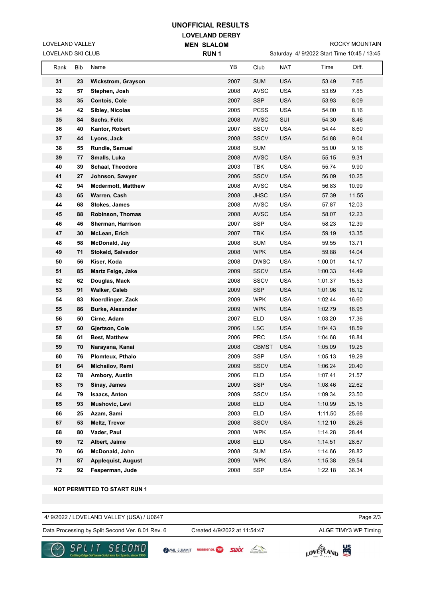## **UNOFFICIAL RESULTS**

**RUN 1**

**LOVELAND DERBY MEN SLALOM** 

LOVELAND SKI CLUB LOVELAND VALLEY

Saturday 4/ 9/2022 Start Time 10:45 / 13:45

|            |     |                           | .    |              |            |         |       |  |
|------------|-----|---------------------------|------|--------------|------------|---------|-------|--|
| Rank       | Bib | Name                      | YB   | Club         | <b>NAT</b> | Time    | Diff. |  |
| 31         | 23  | <b>Wickstrom, Grayson</b> | 2007 | <b>SUM</b>   | <b>USA</b> | 53.49   | 7.65  |  |
| 32         | 57  | Stephen, Josh             | 2008 | <b>AVSC</b>  | <b>USA</b> | 53.69   | 7.85  |  |
| 33         | 35  | <b>Contois, Cole</b>      | 2007 | <b>SSP</b>   | <b>USA</b> | 53.93   | 8.09  |  |
| 34         | 42  | Sibley, Nicolas           | 2005 | <b>PCSS</b>  | <b>USA</b> | 54.00   | 8.16  |  |
| 35         | 84  | Sachs, Felix              | 2008 | <b>AVSC</b>  | SUI        | 54.30   | 8.46  |  |
| 36         | 40  | Kantor, Robert            | 2007 | <b>SSCV</b>  | <b>USA</b> | 54.44   | 8.60  |  |
| 37         | 44  | Lyons, Jack               | 2008 | <b>SSCV</b>  | <b>USA</b> | 54.88   | 9.04  |  |
| 38         | 55  | Rundle, Samuel            | 2008 | <b>SUM</b>   |            | 55.00   | 9.16  |  |
| 39         | 77  | Smalls, Luka              | 2008 | <b>AVSC</b>  | <b>USA</b> | 55.15   | 9.31  |  |
| 40         | 39  | <b>Schaal, Theodore</b>   | 2003 | <b>TBK</b>   | <b>USA</b> | 55.74   | 9.90  |  |
| 41         | 27  | Johnson, Sawyer           | 2006 | <b>SSCV</b>  | <b>USA</b> | 56.09   | 10.25 |  |
| 42         | 94  | <b>Mcdermott, Matthew</b> | 2008 | <b>AVSC</b>  | <b>USA</b> | 56.83   | 10.99 |  |
| 43         | 65  | Warren, Cash              | 2008 | <b>JHSC</b>  | <b>USA</b> | 57.39   | 11.55 |  |
| 44         | 68  | Stokes, James             | 2008 | <b>AVSC</b>  | <b>USA</b> | 57.87   | 12.03 |  |
| 45         | 88  | Robinson, Thomas          | 2008 | <b>AVSC</b>  | <b>USA</b> | 58.07   | 12.23 |  |
| 46         | 46  | Sherman, Harrison         | 2007 | <b>SSP</b>   | <b>USA</b> | 58.23   | 12.39 |  |
| 47         | 30  | McLean, Erich             | 2007 | <b>TBK</b>   | <b>USA</b> | 59.19   | 13.35 |  |
| 48         | 58  | McDonald, Jay             | 2008 | <b>SUM</b>   | <b>USA</b> | 59.55   | 13.71 |  |
| 49         | 71  | Stokeld, Salvador         | 2008 | <b>WPK</b>   | <b>USA</b> | 59.88   | 14.04 |  |
| 50         | 56  | Kiser, Koda               | 2008 | <b>DWSC</b>  | <b>USA</b> | 1:00.01 | 14.17 |  |
| 51         | 85  | <b>Martz Feige, Jake</b>  | 2009 | <b>SSCV</b>  | <b>USA</b> | 1:00.33 | 14.49 |  |
| 52         | 62  | Douglas, Mack             | 2008 | <b>SSCV</b>  | <b>USA</b> | 1:01.37 | 15.53 |  |
| 53         | 91  | <b>Walker, Caleb</b>      | 2009 | <b>SSP</b>   | <b>USA</b> | 1:01.96 | 16.12 |  |
| 54         | 83  | Noerdlinger, Zack         | 2009 | <b>WPK</b>   | <b>USA</b> | 1:02.44 | 16.60 |  |
| 55         | 86  | <b>Burke, Alexander</b>   | 2009 | <b>WPK</b>   | <b>USA</b> | 1:02.79 | 16.95 |  |
| 56         | 50  | Cirne, Adam               | 2007 | <b>ELD</b>   | <b>USA</b> | 1:03.20 | 17.36 |  |
| 57         | 60  | Gjertson, Cole            | 2006 | <b>LSC</b>   | <b>USA</b> | 1:04.43 | 18.59 |  |
| 58         | 61  | <b>Best, Matthew</b>      | 2006 | <b>PRC</b>   | <b>USA</b> | 1:04.68 | 18.84 |  |
| 59         | 70  | Narayana, Kanai           | 2008 | <b>CBMST</b> | <b>USA</b> | 1:05.09 | 19.25 |  |
| 60         | 76  | Plomteux, Pthalo          | 2009 | <b>SSP</b>   | <b>USA</b> | 1:05.13 | 19.29 |  |
| 61         | 64  | Michailov, Remi           | 2009 | <b>SSCV</b>  | <b>USA</b> | 1:06.24 | 20.40 |  |
| 62         | 78  | Ambory, Austin            | 2006 | ELD          | USA        | 1:07.41 | 21.57 |  |
| 63         | 75  | Sinay, James              | 2009 | <b>SSP</b>   | <b>USA</b> | 1:08.46 | 22.62 |  |
| 64         | 79  | <b>Isaacs, Anton</b>      | 2009 | <b>SSCV</b>  | <b>USA</b> | 1:09.34 | 23.50 |  |
| 65         | 93  | Mushovic, Levi            | 2008 | <b>ELD</b>   | <b>USA</b> | 1:10.99 | 25.15 |  |
| 66         | 25  | Azam, Sami                | 2003 | <b>ELD</b>   | <b>USA</b> | 1:11.50 | 25.66 |  |
| 67         | 53  | Meltz, Trevor             | 2008 | <b>SSCV</b>  | <b>USA</b> | 1:12.10 | 26.26 |  |
| 68         | 80  | Vader, Paul               | 2008 | <b>WPK</b>   | <b>USA</b> | 1:14.28 | 28.44 |  |
| 69         | 72  | Albert, Jaime             | 2008 | <b>ELD</b>   | <b>USA</b> | 1:14.51 | 28.67 |  |
| 70         | 66  | McDonald, John            | 2008 | <b>SUM</b>   | <b>USA</b> | 1:14.66 | 28.82 |  |
| 71         | 87  | <b>Applequist, August</b> | 2009 | <b>WPK</b>   | <b>USA</b> | 1:15.38 | 29.54 |  |
| ${\bf 72}$ | 92  | Fesperman, Jude           | 2008 | <b>SSP</b>   | <b>USA</b> | 1:22.18 | 36.34 |  |

**NOT PERMITTED TO START RUN 1**

4/ 9/2022 / LOVELAND VALLEY (USA) / U0647

Data Processing by Split Second Ver. 8.01 Rev. 6 Created 4/9/2022 at 11:54:47 ALGE TIMY3 WP Timing Created 4/9/2022 at 11:54:47

Page 2/3



SVAIL-SUMMIT ROSSIGNOL RESULT